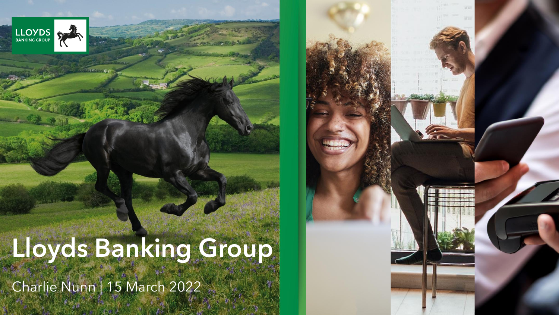

# **Lloyds Banking Group**

Charlie Nunn | 15 March 2022

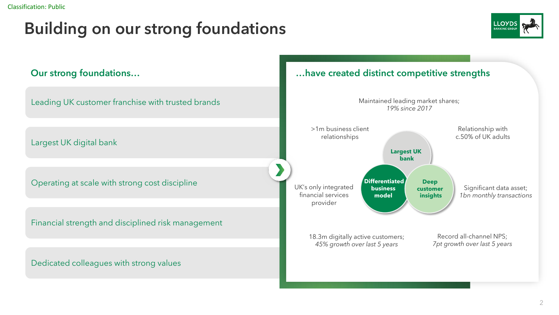### Building on our strong foundations



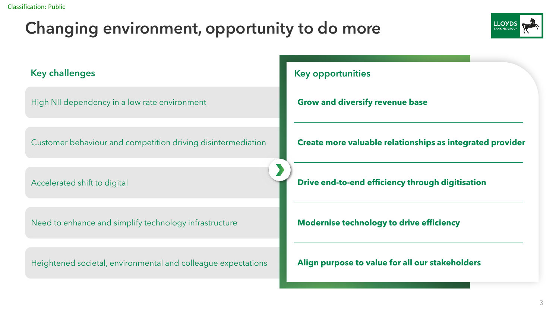## Changing environment, opportunity to do more



High NII dependency in a low rate environment Customer behaviour and competition driving disintermediation Accelerated shift to digital Need to enhance and simplify technology infrastructure **Key challenges Key opportunities Grow and diversify revenue base Create more valuable relationships as integrated provider Drive end-to-end efficiency through digitisation Modernise technology to drive efficiency**

Heightened societal, environmental and colleague expectations

**Align purpose to value for all our stakeholders**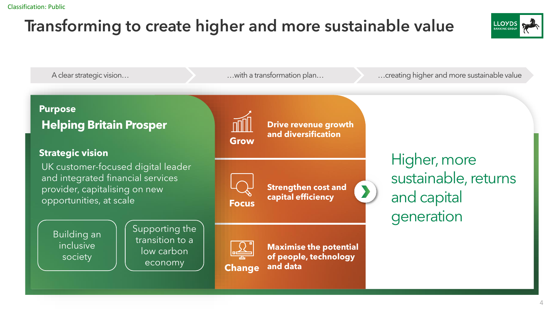## Transforming to create higher and more sustainable value



A clear strategic vision… **Exercise 20** Microsoft Muslim a transformation plan… **Exercise 20 Microsoft Constanting higher and more sustainable value** 

#### **Purpose Helping Britain Prosper**

#### **Strategic vision**

UK customer-focused digital leader and integrated financial services provider, capitalising on new **opportunities, at scale Focus** 

Building an inclusive society

Supporting the transition to a low carbon economy



**Drive revenue growth and diversification**

**Strengthen cost and capital efficiency**



**Change**

**Maximise the potential of people, technology and data**

Higher, more sustainable, returns and capital generation